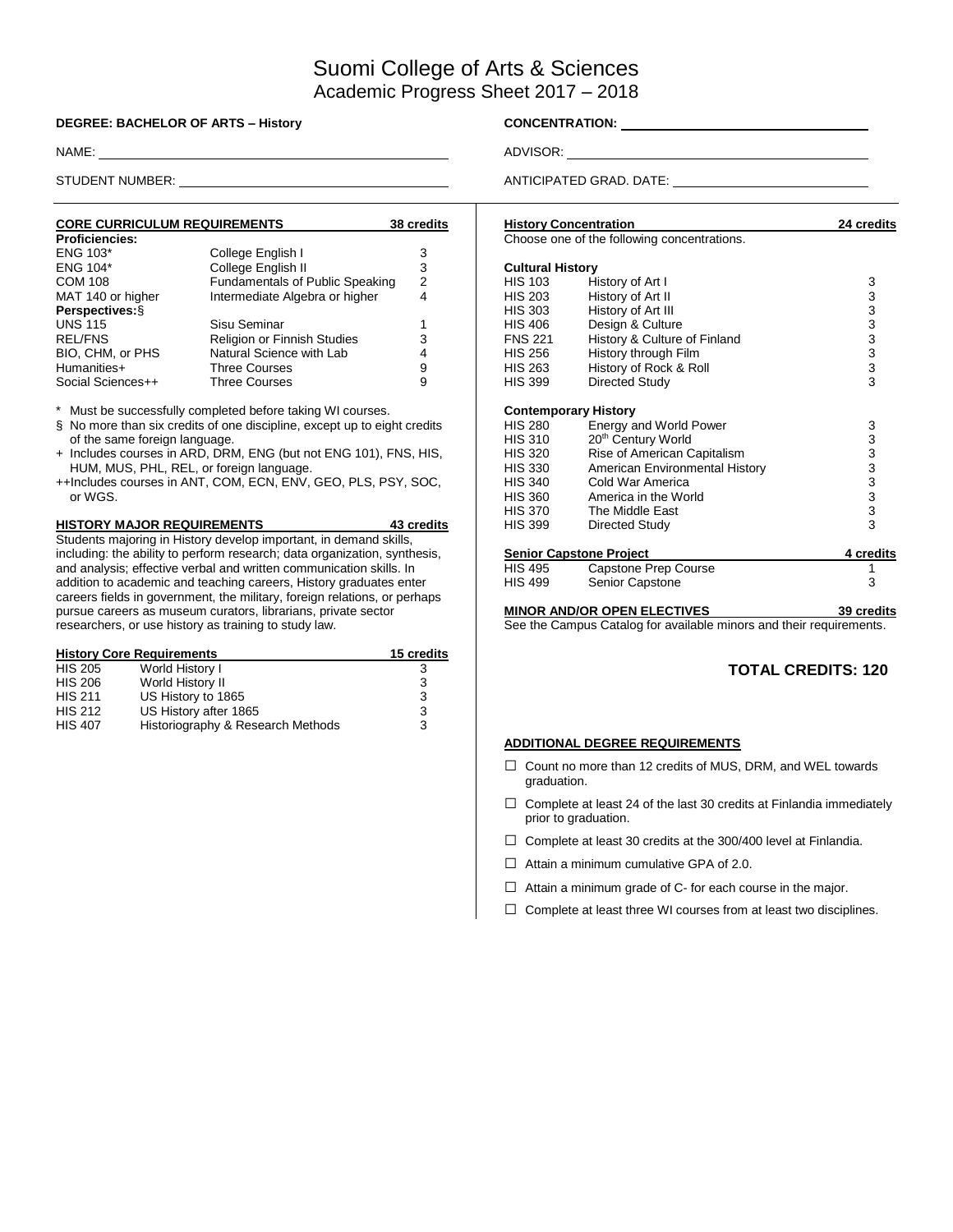# Suomi College of Arts & Sciences Academic Progress Sheet 2017 – 2018

#### **DEGREE: BACHELOR OF ARTS – History CONCENTRATION:** \_\_\_\_

| <b>CORE CURRICULUM REQUIREMENTS</b> |                                        | 38 credits |
|-------------------------------------|----------------------------------------|------------|
| <b>Proficiencies:</b>               |                                        |            |
| <b>ENG 103*</b>                     | College English I                      | 3          |
| <b>ENG 104*</b>                     | College English II                     | 3          |
| <b>COM 108</b>                      | <b>Fundamentals of Public Speaking</b> | 2          |
| MAT 140 or higher                   | Intermediate Algebra or higher         | 4          |
| Perspectives: §                     |                                        |            |
| <b>UNS 115</b>                      | Sisu Seminar                           | 1          |
| <b>REL/FNS</b>                      | Religion or Finnish Studies            | 3          |
| BIO, CHM, or PHS                    | Natural Science with Lab               | 4          |
| Humanities+                         | <b>Three Courses</b>                   | 9          |
| Social Sciences++                   | <b>Three Courses</b>                   | 9          |

Must be successfully completed before taking WI courses.

- § No more than six credits of one discipline, except up to eight credits of the same foreign language.
- + Includes courses in ARD, DRM, ENG (but not ENG 101), FNS, HIS, HUM, MUS, PHL, REL, or foreign language.
- ++Includes courses in ANT, COM, ECN, ENV, GEO, PLS, PSY, SOC, or WGS.

**HISTORY MAJOR REQUIREMENTS 43 credits** Students majoring in History develop important, in demand skills, including: the ability to perform research; data organization, synthesis, and analysis; effective verbal and written communication skills. In addition to academic and teaching careers, History graduates enter careers fields in government, the military, foreign relations, or perhaps pursue careers as museum curators, librarians, private sector researchers, or use history as training to study law.

|                | <b>History Core Requirements</b>  | 15 credits |
|----------------|-----------------------------------|------------|
| <b>HIS 205</b> | World History I                   | 3          |
| <b>HIS 206</b> | World History II                  | 3          |
| <b>HIS 211</b> | US History to 1865                | 3          |
| <b>HIS 212</b> | US History after 1865             | 3          |
| <b>HIS 407</b> | Historiography & Research Methods | 3          |

NAME: ADVISOR: ADVISOR: ADVISOR: ADVISOR: ADVISOR: ADVISOR: ADVISOR: ADVISOR: ADVISOR: ADVISOR: ADVISOR: ADVISOR: ADVISOR: ADVISOR: ADVISOR: ADVISOR: ADVISOR: ADVISOR: ADVISOR: ADVISOR: ADVISOR: ADVISOR: ADVISOR: ADVISOR:

STUDENT NUMBER: **ANTICIPATED GRAD. DATE:** 

| <b>History Concentration</b> |                                                                     | 24 credits      |
|------------------------------|---------------------------------------------------------------------|-----------------|
|                              | Choose one of the following concentrations.                         |                 |
| <b>Cultural History</b>      |                                                                     |                 |
| <b>HIS 103</b>               | History of Art I                                                    | 3               |
| HIS 203                      | History of Art II                                                   |                 |
| HIS 303                      | History of Art III                                                  |                 |
|                              |                                                                     | 333333333       |
| HIS 406                      | Design & Culture                                                    |                 |
| <b>FNS 221</b>               | History & Culture of Finland                                        |                 |
| HIS 256                      | History through Film                                                |                 |
| HIS 263                      | History of Rock & Roll                                              |                 |
| <b>HIS 399</b>               | Directed Study                                                      |                 |
| <b>Contemporary History</b>  |                                                                     |                 |
| HIS 280                      | Energy and World Power                                              | 3               |
| HIS 310                      | 20 <sup>th</sup> Century World                                      |                 |
| <b>HIS 320</b>               | Rise of American Capitalism                                         | $3333$<br>$333$ |
| HIS 330                      | American Environmental History                                      |                 |
| HIS 340                      | Cold War America                                                    |                 |
| HIS 360                      | America in the World                                                |                 |
| HIS 370                      | The Middle East                                                     |                 |
| HIS 399                      | Directed Study                                                      |                 |
|                              |                                                                     |                 |
|                              | <b>Senior Capstone Project</b>                                      | 4 credits       |
| HIS 495                      | Capstone Prep Course                                                | 1               |
| HIS 499                      | Senior Capstone                                                     | 3               |
|                              | <b>MINOR AND/OR OPEN ELECTIVES</b>                                  | 39 credits      |
|                              | See the Campus Catalog for available minors and their requirements. |                 |

## **TOTAL CREDITS: 120**

#### **ADDITIONAL DEGREE REQUIREMENTS**

- □ Count no more than 12 credits of MUS, DRM, and WEL towards graduation.
- $\Box$  Complete at least 24 of the last 30 credits at Finlandia immediately prior to graduation.
- $\Box$  Complete at least 30 credits at the 300/400 level at Finlandia.
- $\Box$  Attain a minimum cumulative GPA of 2.0.
- $\Box$  Attain a minimum grade of C- for each course in the major.
- $\square$  Complete at least three WI courses from at least two disciplines.